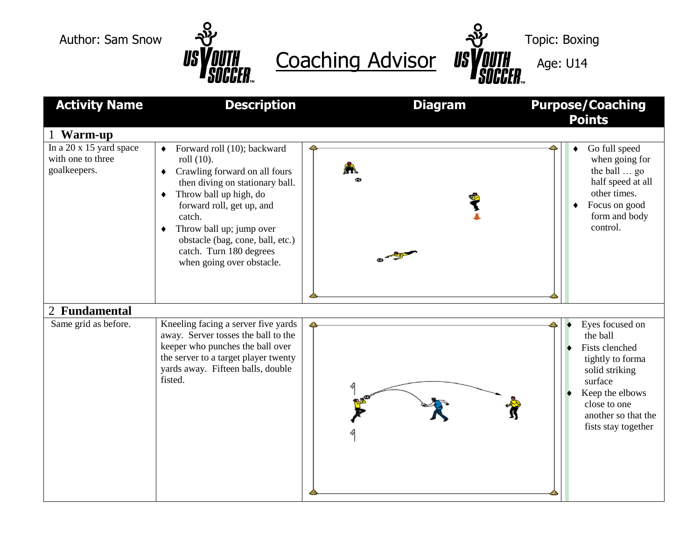

US VOUTH Coaching Advisor US VOUTH Age: U14

| <b>Activity Name</b>                                         | <b>Description</b>                                                                                                                                                                                                                                                                                               | <b>Diagram</b> | <b>Purpose/Coaching</b><br><b>Points</b>                                                                                                                                        |
|--------------------------------------------------------------|------------------------------------------------------------------------------------------------------------------------------------------------------------------------------------------------------------------------------------------------------------------------------------------------------------------|----------------|---------------------------------------------------------------------------------------------------------------------------------------------------------------------------------|
| 1 Warm-up                                                    |                                                                                                                                                                                                                                                                                                                  |                |                                                                                                                                                                                 |
| In a 20 x 15 yard space<br>with one to three<br>goalkeepers. | Forward roll (10); backward<br>roll (10).<br>Crawling forward on all fours<br>٠<br>then diving on stationary ball.<br>Throw ball up high, do<br>٠<br>forward roll, get up, and<br>catch.<br>Throw ball up; jump over<br>obstacle (bag, cone, ball, etc.)<br>catch. Turn 180 degrees<br>when going over obstacle. |                | Go full speed<br>when going for<br>the ball  go<br>half speed at all<br>other times.<br>Focus on good<br>form and body<br>control.                                              |
| 2 Fundamental                                                |                                                                                                                                                                                                                                                                                                                  |                |                                                                                                                                                                                 |
| Same grid as before.                                         | Kneeling facing a server five yards<br>away. Server tosses the ball to the<br>keeper who punches the ball over<br>the server to a target player twenty<br>yards away. Fifteen balls, double<br>fisted.                                                                                                           |                | Eyes focused on<br>the ball<br>Fists clenched<br>tightly to forma<br>solid striking<br>surface<br>Keep the elbows<br>close to one<br>another so that the<br>fists stay together |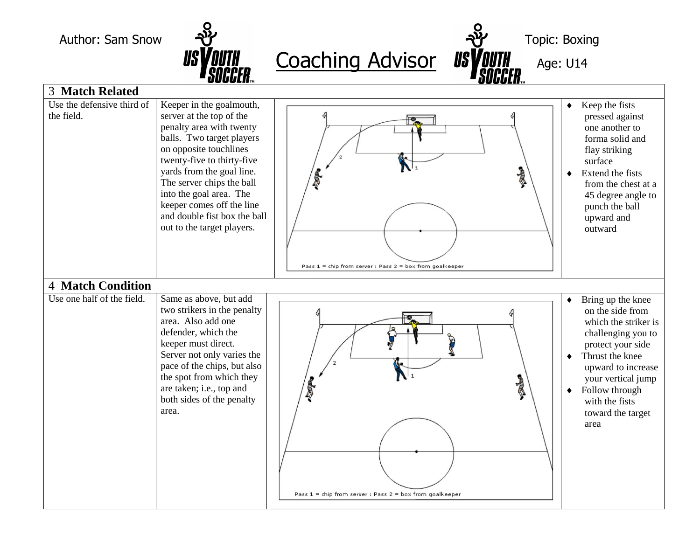

|                                                                    | UUUULII™                                                                                                                                                                                                                                                                                                                                              | WWW.II <del>.</del>                                               |                                                                                                                                                                                                                                                                         |
|--------------------------------------------------------------------|-------------------------------------------------------------------------------------------------------------------------------------------------------------------------------------------------------------------------------------------------------------------------------------------------------------------------------------------------------|-------------------------------------------------------------------|-------------------------------------------------------------------------------------------------------------------------------------------------------------------------------------------------------------------------------------------------------------------------|
| <b>3 Match Related</b><br>Use the defensive third of<br>the field. | Keeper in the goalmouth,<br>server at the top of the<br>penalty area with twenty<br>balls. Two target players<br>on opposite touchlines<br>twenty-five to thirty-five<br>yards from the goal line.<br>The server chips the ball<br>into the goal area. The<br>keeper comes off the line<br>and double fist box the ball<br>out to the target players. | 喜<br>Pass 1 = chip from server : Pass 2 = box from goalkeeper     | Keep the fists<br>٠<br>pressed against<br>one another to<br>forma solid and<br>flay striking<br>surface<br>Extend the fists<br>٠<br>from the chest at a<br>45 degree angle to<br>punch the ball<br>upward and<br>outward                                                |
| <b>4 Match Condition</b><br>Use one half of the field.             | Same as above, but add<br>two strikers in the penalty<br>area. Also add one<br>defender, which the<br>keeper must direct.<br>Server not only varies the<br>pace of the chips, but also<br>the spot from which they<br>are taken; i.e., top and<br>both sides of the penalty<br>area.                                                                  | A<br>Pass $1 =$ chip from server : Pass $2 =$ box from goalkeeper | Bring up the knee<br>٠<br>on the side from<br>which the striker is<br>challenging you to<br>protect your side<br>Thrust the knee<br>$\bullet$<br>upward to increase<br>your vertical jump<br>Follow through<br>$\bullet$<br>with the fists<br>toward the target<br>area |